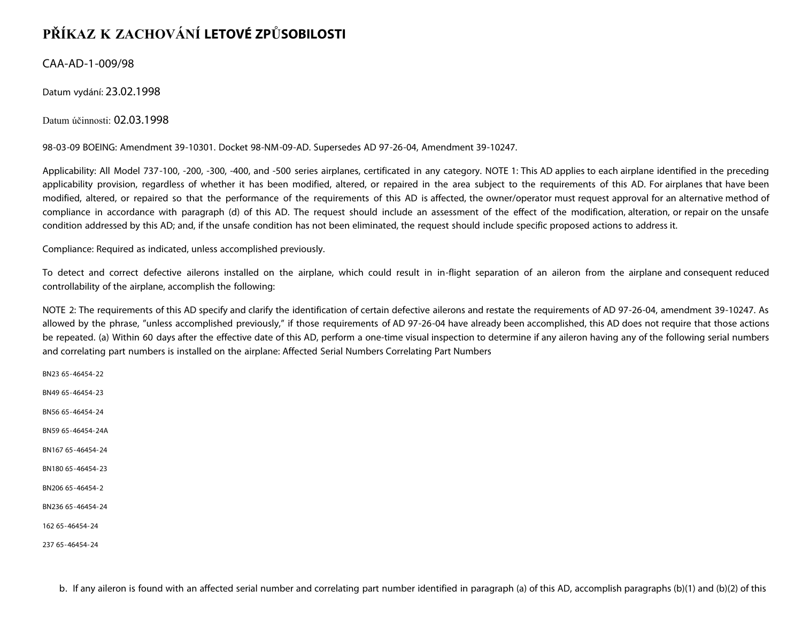## **PŘÍKAZ K ZACHOVÁNÍ LETOVÉ ZPŮSOBILOSTI**

CAA-AD-1-009/98

Datum vydání: 23.02.1998

Datum účinnosti: 02.03.1998

98-03-09 BOEING: Amendment 39-10301. Docket 98-NM-09-AD. Supersedes AD 97-26-04, Amendment 39-10247.

Applicability: All Model 737-100, -200, -300, -400, and -500 series airplanes, certificated in any category. NOTE 1: This AD applies to each airplane identified in the preceding applicability provision, regardless of whether it has been modified, altered, or repaired in the area subject to the requirements of this AD. For airplanes that have been modified, altered, or repaired so that the performance of the requirements of this AD is affected, the owner/operator must request approval for an alternative method of compliance in accordance with paragraph (d) of this AD. The request should include an assessment of the effect of the modification, alteration, or repair on the unsafe condition addressed by this AD; and, if the unsafe condition has not been eliminated, the request should include specific proposed actions to address it.

Compliance: Required as indicated, unless accomplished previously.

To detect and correct defective ailerons installed on the airplane, which could result in in-flight separation of an aileron from the airplane and consequent reduced controllability of the airplane, accomplish the following:

NOTE 2: The requirements of this AD specify and clarify the identification of certain defective ailerons and restate the requirements of AD 97-26-04, amendment 39-10247. As allowed by the phrase, "unless accomplished previously," if those requirements of AD 97-26-04 have already been accomplished, this AD does not require that those actions be repeated. (a) Within 60 days after the effective date of this AD, perform a one-time visual inspection to determine if any aileron having any of the following serial numbers and correlating part numbers is installed on the airplane: Affected Serial Numbers Correlating Part Numbers

BN23 65-46454-22 BN49 65-46454-23 BN56 65-46454-24 BN59 65-46454-24A BN167 65-46454-24 BN180 65-46454-23 BN206 65-46454-2 BN236 65-46454-24 162 65-46454-24

237 65-46454-24

b. If any aileron is found with an affected serial number and correlating part number identified in paragraph (a) of this AD, accomplish paragraphs (b)(1) and (b)(2) of this